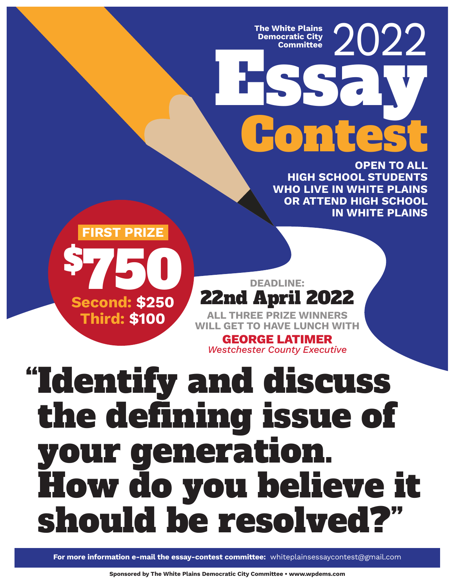**Democratic City** 

# The White Plains **2022 Loni Committee**

**OPEN TO ALL HIGH SCHOOL STUDENTS WHO LIVE IN WHITE PLAINS OR ATTEND HIGH SCHOOL IN WHITE PLAINS**



22nd April 2022 **ALL THREE PRIZE WINNERS WILL GET TO HAVE LUNCH WITH**

**DEADLINE:**

**GEORGE LATIMER** *Westchester County Executive*

## "Identify and discuss the defining issue of your generation. How do you believe it should be resolved?"

**For more information e-mail the essay-contest committee:** whiteplainsessaycontest@gmail.com